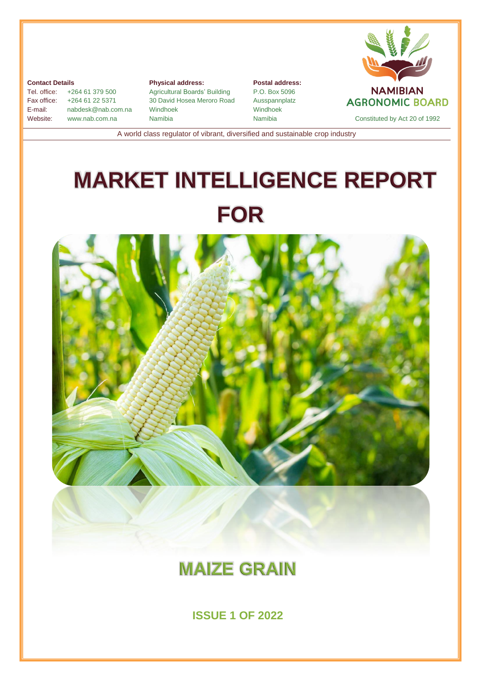

#### **Contact Details**

Tel. office: +264 61 379 500 Fax office: +264 61 22 5371 E-mail: nabdesk@nab.com.na Website: [www.nab.com.na](http://www.nab.com.na/)

**Physical address:** Agricultural Boards' Building 30 David Hosea Meroro Road Windhoek Namibia

**Postal address:** P.O. Box 5096 Ausspannplatz Windhoek



A world class regulator of vibrant, diversified and sustainable crop industry

# **MARKET INTELLIGENCE REPORT FOR**



## **MAIZE GRAIN**

**ISSUE 1 OF 2022**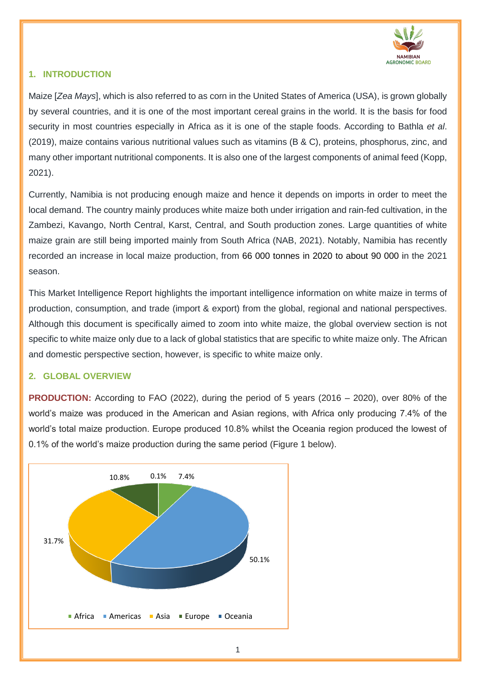

### **1. INTRODUCTION**

Maize [*Zea Mays*], which is also referred to as corn in the United States of America (USA), is grown globally by several countries, and it is one of the most important cereal grains in the world. It is the basis for food security in most countries especially in Africa as it is one of the staple foods. According to Bathla *et al*. (2019), maize contains various nutritional values such as vitamins (B & C), proteins, phosphorus, zinc, and many other important nutritional components. It is also one of the largest components of animal feed (Kopp, 2021).

Currently, Namibia is not producing enough maize and hence it depends on imports in order to meet the local demand. The country mainly produces white maize both under irrigation and rain-fed cultivation, in the Zambezi, Kavango, North Central, Karst, Central, and South production zones. Large quantities of white maize grain are still being imported mainly from South Africa (NAB, 2021). Notably, Namibia has recently recorded an increase in local maize production, from 66 000 tonnes in 2020 to about 90 000 in the 2021 season.

This Market Intelligence Report highlights the important intelligence information on white maize in terms of production, consumption, and trade (import & export) from the global, regional and national perspectives. Although this document is specifically aimed to zoom into white maize, the global overview section is not specific to white maize only due to a lack of global statistics that are specific to white maize only. The African and domestic perspective section, however, is specific to white maize only.

#### **2. GLOBAL OVERVIEW**

**PRODUCTION:** According to FAO (2022), during the period of 5 years (2016 – 2020), over 80% of the world's maize was produced in the American and Asian regions, with Africa only producing 7.4% of the world's total maize production. Europe produced 10.8% whilst the Oceania region produced the lowest of 0.1% of the world's maize production during the same period (Figure 1 below).

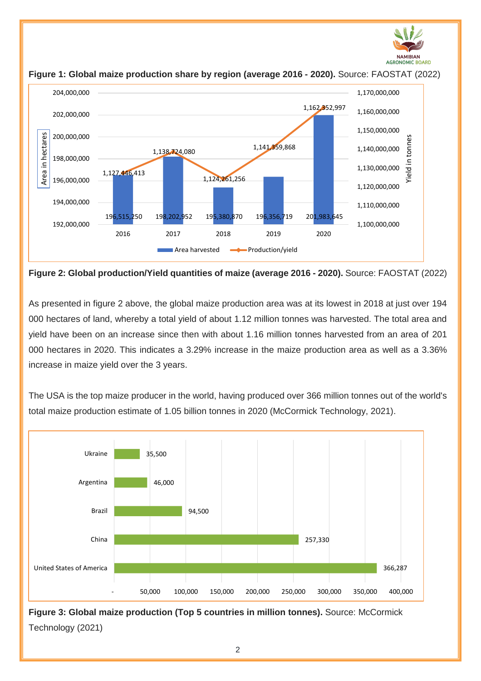



**Figure 1: Global maize production share by region (average 2016 - 2020).** Source: FAOSTAT (2022)

**Figure 2: Global production/Yield quantities of maize (average 2016 - 2020).** Source: FAOSTAT (2022)

As presented in figure 2 above, the global maize production area was at its lowest in 2018 at just over 194 000 hectares of land, whereby a total yield of about 1.12 million tonnes was harvested. The total area and yield have been on an increase since then with about 1.16 million tonnes harvested from an area of 201 000 hectares in 2020. This indicates a 3.29% increase in the maize production area as well as a 3.36% increase in maize yield over the 3 years.

The USA is the top maize producer in the world, having produced over 366 million tonnes out of the world's total maize production estimate of 1.05 billion tonnes in 2020 (McCormick Technology, 2021).



**Figure 3: Global maize production (Top 5 countries in million tonnes).** Source: McCormick Technology (2021)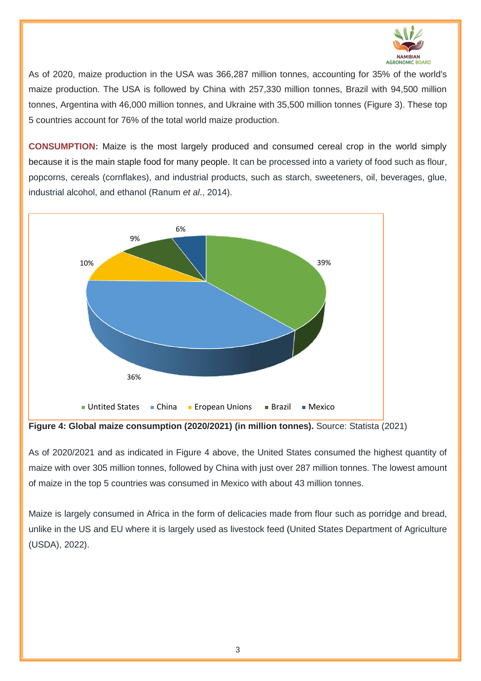

As of 2020, maize production in the USA was 366,287 million tonnes, accounting for 35% of the world's maize production. The USA is followed by China with 257,330 million tonnes, Brazil with 94,500 million tonnes, Argentina with 46,000 million tonnes, and Ukraine with 35,500 million tonnes (Figure 3). These top 5 countries account for 76% of the total world maize production.

**CONSUMPTION:** Maize is the most largely produced and consumed cereal crop in the world simply because it is the main staple food for many people. It can be processed into a variety of food such as flour, popcorns, cereals (cornflakes), and industrial products, such as starch, sweeteners, oil, beverages, glue, industrial alcohol, and ethanol (Ranum *et al*., 2014).



**Figure 4: Global maize consumption (2020/2021) (in million tonnes).** Source: Statista (2021)

As of 2020/2021 and as indicated in Figure 4 above, the United States consumed the highest quantity of maize with over 305 million tonnes, followed by China with just over 287 million tonnes. The lowest amount of maize in the top 5 countries was consumed in Mexico with about 43 million tonnes.

Maize is largely consumed in Africa in the form of delicacies made from flour such as porridge and bread, unlike in the US and EU where it is largely used as livestock feed (United States Department of Agriculture (USDA), 2022).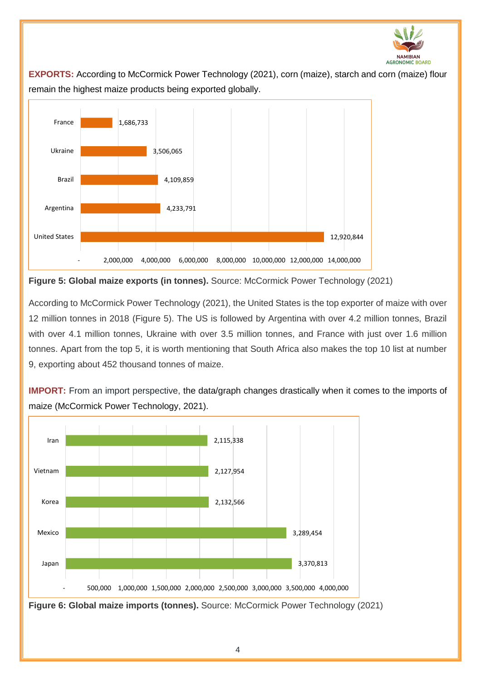

**EXPORTS:** According to McCormick Power Technology (2021), corn (maize), starch and corn (maize) flour remain the highest maize products being exported globally.



**Figure 5: Global maize exports (in tonnes).** Source: McCormick Power Technology (2021)

According to McCormick Power Technology (2021), the United States is the top exporter of maize with over 12 million tonnes in 2018 (Figure 5). The US is followed by Argentina with over 4.2 million tonnes, Brazil with over 4.1 million tonnes, Ukraine with over 3.5 million tonnes, and France with just over 1.6 million tonnes. Apart from the top 5, it is worth mentioning that South Africa also makes the top 10 list at number 9, exporting about 452 thousand tonnes of maize.

**IMPORT:** From an import perspective, the data/graph changes drastically when it comes to the imports of maize (McCormick Power Technology, 2021).

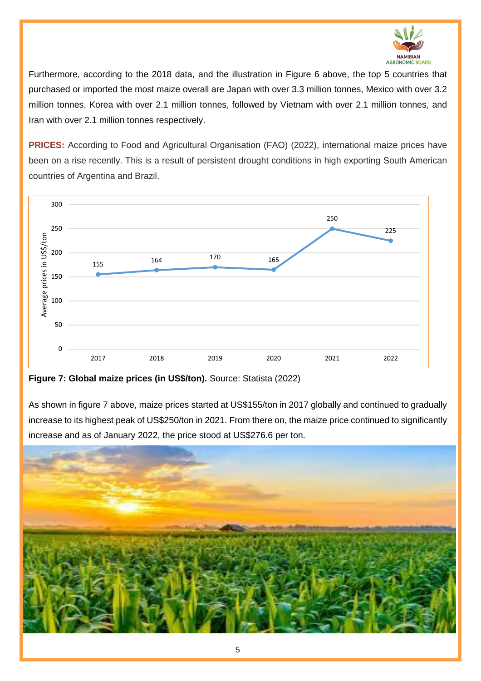

Furthermore, according to the 2018 data, and the illustration in Figure 6 above, the top 5 countries that purchased or imported the most maize overall are Japan with over 3.3 million tonnes, Mexico with over 3.2 million tonnes, Korea with over 2.1 million tonnes, followed by Vietnam with over 2.1 million tonnes, and Iran with over 2.1 million tonnes respectively.

**PRICES:** According to Food and Agricultural Organisation (FAO) (2022), international maize prices have been on a rise recently. This is a result of persistent drought conditions in high exporting South American countries of Argentina and Brazil.



**Figure 7: Global maize prices (in US\$/ton).** Source: Statista (2022)

As shown in figure 7 above, maize prices started at US\$155/ton in 2017 globally and continued to gradually increase to its highest peak of US\$250/ton in 2021. From there on, the maize price continued to significantly increase and as of January 2022, the price stood at US\$276.6 per ton.

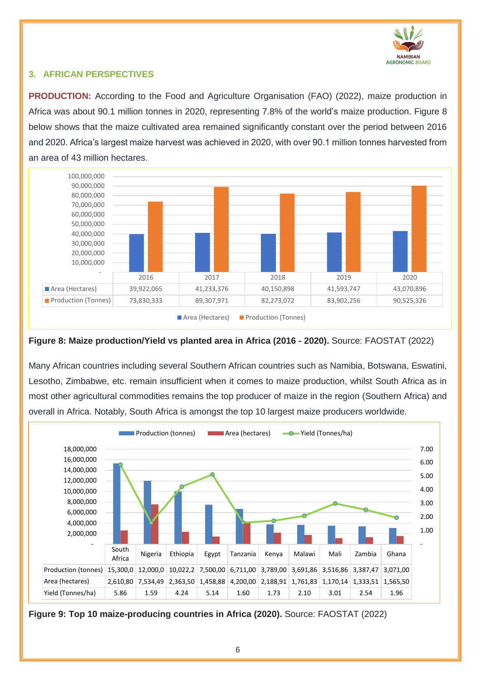

### **3. AFRICAN PERSPECTIVES**

**PRODUCTION:** According to the Food and Agriculture Organisation (FAO) (2022), maize production in Africa was about 90.1 million tonnes in 2020, representing 7.8% of the world's maize production. Figure 8 below shows that the maize cultivated area remained significantly constant over the period between 2016 and 2020. Africa's largest maize harvest was achieved in 2020, with over 90.1 million tonnes harvested from an area of 43 million hectares.



#### **Figure 8: Maize production/Yield vs planted area in Africa (2016 - 2020).** Source: FAOSTAT (2022)

Many African countries including several Southern African countries such as Namibia, Botswana, Eswatini, Lesotho, Zimbabwe, etc. remain insufficient when it comes to maize production, whilst South Africa as in most other agricultural commodities remains the top producer of maize in the region (Southern Africa) and overall in Africa. Notably, South Africa is amongst the top 10 largest maize producers worldwide.



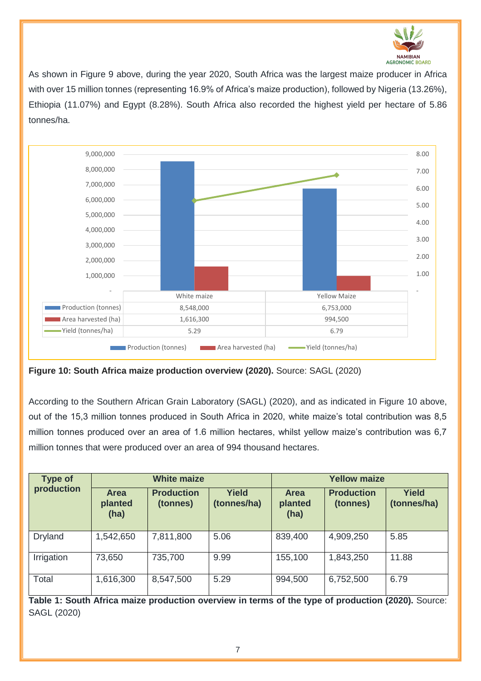

As shown in Figure 9 above, during the year 2020, South Africa was the largest maize producer in Africa with over 15 million tonnes (representing 16.9% of Africa's maize production), followed by Nigeria (13.26%), Ethiopia (11.07%) and Egypt (8.28%). South Africa also recorded the highest yield per hectare of 5.86 tonnes/ha.



**Figure 10: South Africa maize production overview (2020).** Source: SAGL (2020)

According to the Southern African Grain Laboratory (SAGL) (2020), and as indicated in Figure 10 above, out of the 15,3 million tonnes produced in South Africa in 2020, white maize's total contribution was 8,5 million tonnes produced over an area of 1.6 million hectares, whilst yellow maize's contribution was 6,7 million tonnes that were produced over an area of 994 thousand hectares.

| <b>Type of</b><br>production | <b>White maize</b>             |                               |                             | <b>Yellow maize</b>            |                               |                             |
|------------------------------|--------------------------------|-------------------------------|-----------------------------|--------------------------------|-------------------------------|-----------------------------|
|                              | <b>Area</b><br>planted<br>(ha) | <b>Production</b><br>(tonnes) | <b>Yield</b><br>(tonnes/ha) | <b>Area</b><br>planted<br>(ha) | <b>Production</b><br>(tonnes) | <b>Yield</b><br>(tonnes/ha) |
| <b>Dryland</b>               | 1,542,650                      | 7,811,800                     | 5.06                        | 839,400                        | 4,909,250                     | 5.85                        |
| Irrigation                   | 73,650                         | 735,700                       | 9.99                        | 155,100                        | 1,843,250                     | 11.88                       |
| Total                        | 1,616,300                      | 8,547,500                     | 5.29                        | 994,500                        | 6,752,500                     | 6.79                        |

**Table 1: South Africa maize production overview in terms of the type of production (2020).** Source: SAGL (2020)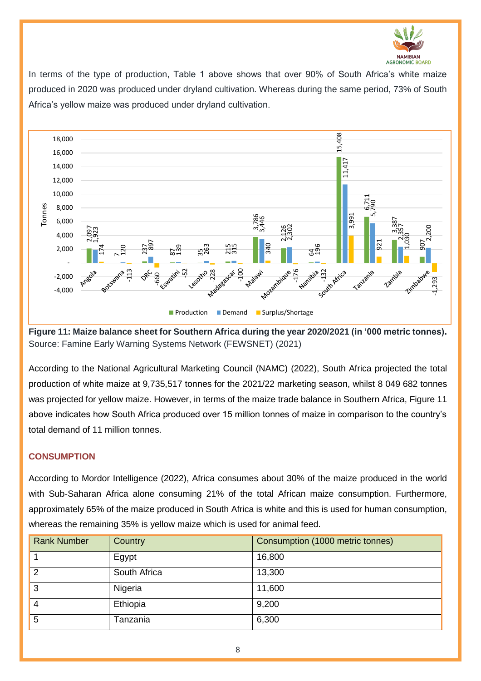

In terms of the type of production, Table 1 above shows that over 90% of South Africa's white maize produced in 2020 was produced under dryland cultivation. Whereas during the same period, 73% of South Africa's yellow maize was produced under dryland cultivation.



**Figure 11: Maize balance sheet for Southern Africa during the year 2020/2021 (in '000 metric tonnes).**  Source: Famine Early Warning Systems Network (FEWSNET) (2021)

According to the National Agricultural Marketing Council (NAMC) (2022), South Africa projected the total production of white maize at 9,735,517 tonnes for the 2021/22 marketing season, whilst 8 049 682 tonnes was projected for yellow maize. However, in terms of the maize trade balance in Southern Africa, Figure 11 above indicates how South Africa produced over 15 million tonnes of maize in comparison to the country's total demand of 11 million tonnes.

#### **CONSUMPTION**

According to Mordor Intelligence (2022), Africa consumes about 30% of the maize produced in the world with Sub-Saharan Africa alone consuming 21% of the total African maize consumption. Furthermore, approximately 65% of the maize produced in South Africa is white and this is used for human consumption, whereas the remaining 35% is yellow maize which is used for animal feed.

| <b>Rank Number</b> | Country      | Consumption (1000 metric tonnes) |
|--------------------|--------------|----------------------------------|
|                    | Egypt        | 16,800                           |
| $\overline{2}$     | South Africa | 13,300                           |
| 3                  | Nigeria      | 11,600                           |
| 4                  | Ethiopia     | 9,200                            |
| 5                  | Tanzania     | 6,300                            |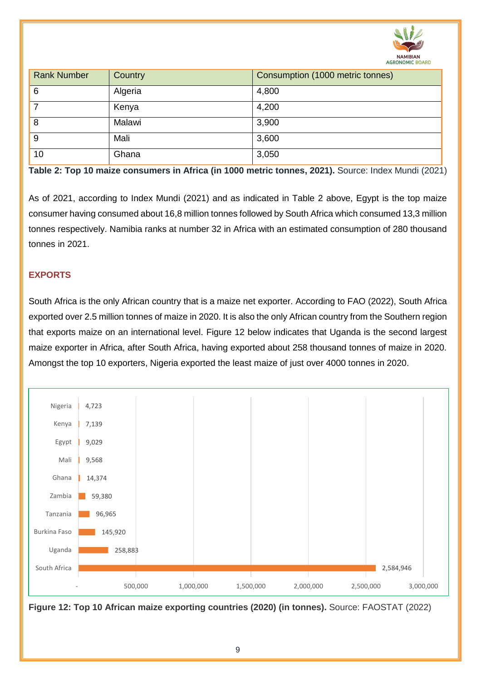

| <b>Rank Number</b> | Country | Consumption (1000 metric tonnes) |
|--------------------|---------|----------------------------------|
| 6                  | Algeria | 4,800                            |
|                    | Kenya   | 4,200                            |
| 8                  | Malawi  | 3,900                            |
| 9                  | Mali    | 3,600                            |
| 10                 | Ghana   | 3,050                            |

**Table 2: Top 10 maize consumers in Africa (in 1000 metric tonnes, 2021).** Source: Index Mundi (2021)

As of 2021, according to Index Mundi (2021) and as indicated in Table 2 above, Egypt is the top maize consumer having consumed about 16,8 million tonnes followed by South Africa which consumed 13,3 million tonnes respectively. Namibia ranks at number 32 in Africa with an estimated consumption of 280 thousand tonnes in 2021.

#### **EXPORTS**

South Africa is the only African country that is a maize net exporter. According to FAO (2022), South Africa exported over 2.5 million tonnes of maize in 2020. It is also the only African country from the Southern region that exports maize on an international level. Figure 12 below indicates that Uganda is the second largest maize exporter in Africa, after South Africa, having exported about 258 thousand tonnes of maize in 2020. Amongst the top 10 exporters, Nigeria exported the least maize of just over 4000 tonnes in 2020.



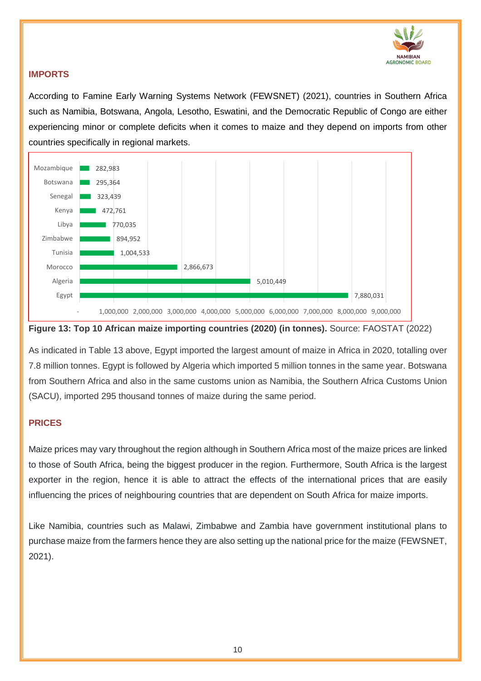

#### **IMPORTS**

According to Famine Early Warning Systems Network (FEWSNET) (2021), countries in Southern Africa such as Namibia, Botswana, Angola, Lesotho, Eswatini, and the Democratic Republic of Congo are either experiencing minor or complete deficits when it comes to maize and they depend on imports from other countries specifically in regional markets.



#### **Figure 13: Top 10 African maize importing countries (2020) (in tonnes).** Source: FAOSTAT (2022)

As indicated in Table 13 above, Egypt imported the largest amount of maize in Africa in 2020, totalling over 7.8 million tonnes. Egypt is followed by Algeria which imported 5 million tonnes in the same year. Botswana from Southern Africa and also in the same customs union as Namibia, the Southern Africa Customs Union (SACU), imported 295 thousand tonnes of maize during the same period.

### **PRICES**

Maize prices may vary throughout the region although in Southern Africa most of the maize prices are linked to those of South Africa, being the biggest producer in the region. Furthermore, South Africa is the largest exporter in the region, hence it is able to attract the effects of the international prices that are easily influencing the prices of neighbouring countries that are dependent on South Africa for maize imports.

Like Namibia, countries such as Malawi, Zimbabwe and Zambia have government institutional plans to purchase maize from the farmers hence they are also setting up the national price for the maize (FEWSNET, 2021).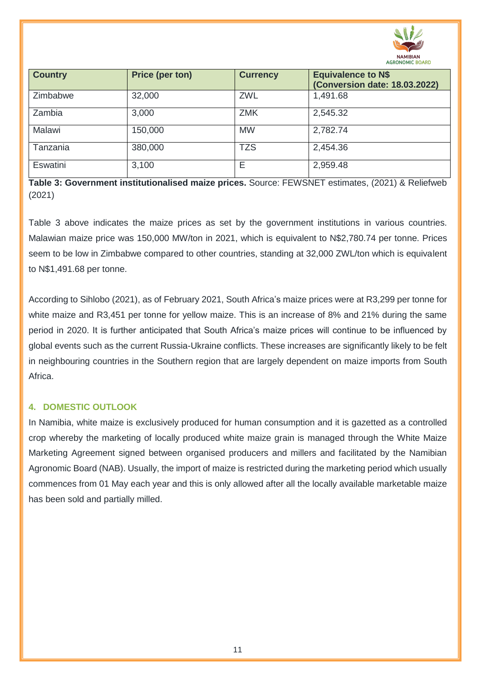

| <b>Country</b> | <b>Price (per ton)</b> | <b>Currency</b> | <b>Equivalence to N\$</b><br><b>(Conversion date: 18.03.2022)</b> |
|----------------|------------------------|-----------------|-------------------------------------------------------------------|
| Zimbabwe       | 32,000                 | <b>ZWL</b>      | 1,491.68                                                          |
| Zambia         | 3,000                  | <b>ZMK</b>      | 2,545.32                                                          |
| Malawi         | 150,000                | <b>MW</b>       | 2,782.74                                                          |
| Tanzania       | 380,000                | <b>TZS</b>      | 2,454.36                                                          |
| Eswatini       | 3,100                  | Е               | 2,959.48                                                          |

**Table 3: Government institutionalised maize prices.** Source: FEWSNET estimates, (2021) & Reliefweb (2021)

Table 3 above indicates the maize prices as set by the government institutions in various countries. Malawian maize price was 150,000 MW/ton in 2021, which is equivalent to N\$2,780.74 per tonne. Prices seem to be low in Zimbabwe compared to other countries, standing at 32,000 ZWL/ton which is equivalent to N\$1,491.68 per tonne.

According to Sihlobo (2021), as of February 2021, South Africa's maize prices were at R3,299 per tonne for white maize and R3,451 per tonne for yellow maize. This is an increase of 8% and 21% during the same period in 2020. It is further anticipated that South Africa's maize prices will continue to be influenced by global events such as the current Russia-Ukraine conflicts. These increases are significantly likely to be felt in neighbouring countries in the Southern region that are largely dependent on maize imports from South Africa.

#### **4. DOMESTIC OUTLOOK**

In Namibia, white maize is exclusively produced for human consumption and it is gazetted as a controlled crop whereby the marketing of locally produced white maize grain is managed through the White Maize Marketing Agreement signed between organised producers and millers and facilitated by the Namibian Agronomic Board (NAB). Usually, the import of maize is restricted during the marketing period which usually commences from 01 May each year and this is only allowed after all the locally available marketable maize has been sold and partially milled.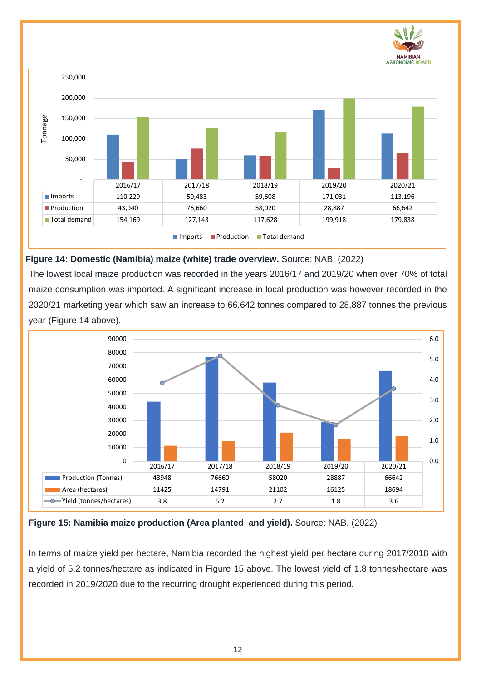

#### **Figure 14: Domestic (Namibia) maize (white) trade overview.** Source: NAB, (2022)

The lowest local maize production was recorded in the years 2016/17 and 2019/20 when over 70% of total maize consumption was imported. A significant increase in local production was however recorded in the 2020/21 marketing year which saw an increase to 66,642 tonnes compared to 28,887 tonnes the previous year (Figure 14 above).



**Figure 15: Namibia maize production (Area planted and yield).** Source: NAB, (2022)

In terms of maize yield per hectare, Namibia recorded the highest yield per hectare during 2017/2018 with a yield of 5.2 tonnes/hectare as indicated in Figure 15 above. The lowest yield of 1.8 tonnes/hectare was recorded in 2019/2020 due to the recurring drought experienced during this period.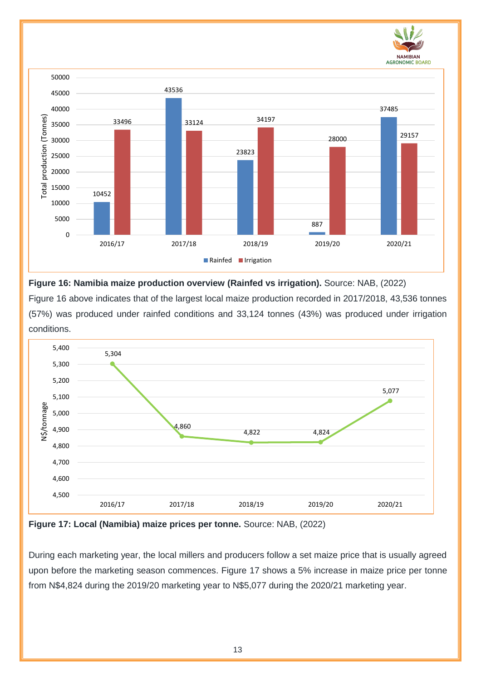



**Figure 16: Namibia maize production overview (Rainfed vs irrigation).** Source: NAB, (2022)

Figure 16 above indicates that of the largest local maize production recorded in 2017/2018, 43,536 tonnes (57%) was produced under rainfed conditions and 33,124 tonnes (43%) was produced under irrigation conditions.



**Figure 17: Local (Namibia) maize prices per tonne.** Source: NAB, (2022)

During each marketing year, the local millers and producers follow a set maize price that is usually agreed upon before the marketing season commences. Figure 17 shows a 5% increase in maize price per tonne from N\$4,824 during the 2019/20 marketing year to N\$5,077 during the 2020/21 marketing year.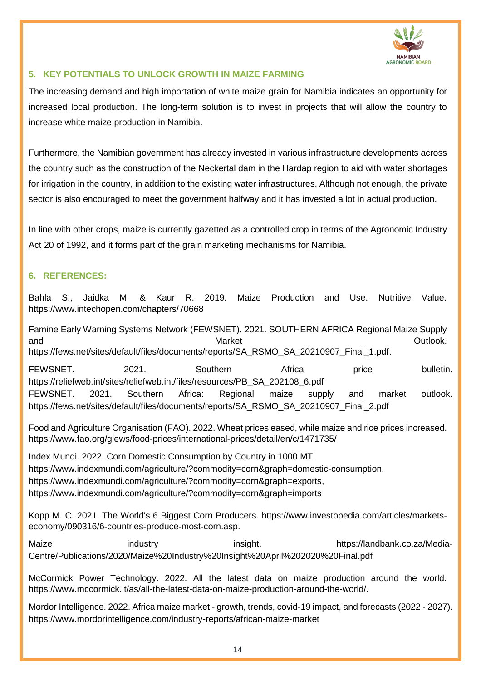

#### **5. KEY POTENTIALS TO UNLOCK GROWTH IN MAIZE FARMING**

The increasing demand and high importation of white maize grain for Namibia indicates an opportunity for increased local production. The long-term solution is to invest in projects that will allow the country to increase white maize production in Namibia.

Furthermore, the Namibian government has already invested in various infrastructure developments across the country such as the construction of the Neckertal dam in the Hardap region to aid with water shortages for irrigation in the country, in addition to the existing water infrastructures. Although not enough, the private sector is also encouraged to meet the government halfway and it has invested a lot in actual production.

In line with other crops, maize is currently gazetted as a controlled crop in terms of the Agronomic Industry Act 20 of 1992, and it forms part of the grain marketing mechanisms for Namibia.

#### **6. REFERENCES:**

Bahla S., Jaidka M. & Kaur R. 2019. Maize Production and Use. Nutritive Value. <https://www.intechopen.com/chapters/70668>

Famine Early Warning Systems Network (FEWSNET). 2021. SOUTHERN AFRICA Regional Maize Supply and and the contract of the Market  $\blacksquare$  and  $\blacksquare$  and  $\blacksquare$   $\blacksquare$   $\blacksquare$   $\blacksquare$   $\blacksquare$   $\blacksquare$   $\blacksquare$   $\blacksquare$   $\blacksquare$   $\blacksquare$   $\blacksquare$   $\blacksquare$   $\blacksquare$   $\blacksquare$   $\blacksquare$   $\blacksquare$   $\blacksquare$   $\blacksquare$   $\blacksquare$   $\blacksquare$   $\blacksquare$   $\blacksquare$   $\blacksquare$   $\blacks$ [https://fews.net/sites/default/files/documents/reports/SA\\_RSMO\\_SA\\_20210907\\_Final\\_1.pdf.](https://fews.net/sites/default/files/documents/reports/SA_RSMO_SA_20210907_Final_1.pdf)

FEWSNET. 2021. Southern Africa price bulletin. [https://reliefweb.int/sites/reliefweb.int/files/resources/PB\\_SA\\_202108\\_6.pdf](https://reliefweb.int/sites/reliefweb.int/files/resources/PB_SA_202108_6.pdf) FEWSNET. 2021. Southern Africa: Regional maize supply and market outlook. [https://fews.net/sites/default/files/documents/reports/SA\\_RSMO\\_SA\\_20210907\\_Final\\_2.pdf](https://fews.net/sites/default/files/documents/reports/SA_RSMO_SA_20210907_Final_2.pdf)

Food and Agriculture Organisation (FAO). 2022. Wheat prices eased, while maize and rice prices increased. <https://www.fao.org/giews/food-prices/international-prices/detail/en/c/1471735/>

Index Mundi. 2022. Corn Domestic Consumption by Country in 1000 MT. [https://www.indexmundi.com/agriculture/?commodity=corn&graph=domestic-consumption.](https://www.indexmundi.com/agriculture/?commodity=corn&graph=domestic-consumption) [https://www.indexmundi.com/agriculture/?commodity=corn&graph=exports,](https://www.indexmundi.com/agriculture/?commodity=corn&graph=exports) <https://www.indexmundi.com/agriculture/?commodity=corn&graph=imports>

Kopp M. C. 2021. The World's 6 Biggest Corn Producers. [https://www.investopedia.com/articles/markets](https://www.investopedia.com/articles/markets-economy/090316/6-countries-produce-most-corn.asp)[economy/090316/6-countries-produce-most-corn.asp.](https://www.investopedia.com/articles/markets-economy/090316/6-countries-produce-most-corn.asp)

Maize industry insight. [https://landbank.co.za/Media-](https://landbank.co.za/Media-Centre/Publications/2020/Maize%20Industry%20Insight%20April%202020%20Final.pdf)[Centre/Publications/2020/Maize%20Industry%20Insight%20April%202020%20Final.pdf](https://landbank.co.za/Media-Centre/Publications/2020/Maize%20Industry%20Insight%20April%202020%20Final.pdf)

McCormick Power Technology. 2022. All the latest data on maize production around the world. [https://www.mccormick.it/as/all-the-latest-data-on-maize-production-around-the-world/.](https://www.mccormick.it/as/all-the-latest-data-on-maize-production-around-the-world/)

Mordor Intelligence. 2022. Africa maize market - growth, trends, covid-19 impact, and forecasts (2022 - 2027). <https://www.mordorintelligence.com/industry-reports/african-maize-market>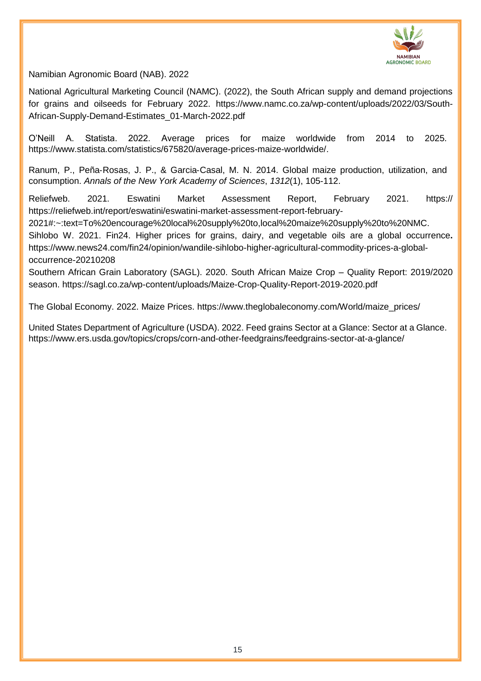

Namibian Agronomic Board (NAB). 2022

National Agricultural Marketing Council (NAMC). (2022), the South African supply and demand projections for grains and oilseeds for February 2022. [https://www.namc.co.za/wp-content/uploads/2022/03/South-](https://www.namc.co.za/wp-content/uploads/2022/03/South-African-Supply-Demand-Estimates_01-March-2022.pdf)[African-Supply-Demand-Estimates\\_01-March-2022.pdf](https://www.namc.co.za/wp-content/uploads/2022/03/South-African-Supply-Demand-Estimates_01-March-2022.pdf)

O'Neill A. Statista. 2022. Average prices for maize worldwide from 2014 to 2025. [https://www.statista.com/statistics/675820/average-prices-maize-worldwide/.](https://www.statista.com/statistics/675820/average-prices-maize-worldwide/)

Ranum, P., Peña‐Rosas, J. P., & Garcia‐Casal, M. N. 2014. Global maize production, utilization, and consumption. *Annals of the New York Academy of Sciences*, *1312*(1), 105-112.

Reliefweb. 2021. Eswatini Market Assessment Report, February 2021. https:// [https://reliefweb.int/report/eswatini/eswatini-market-assessment-report-february-](https://reliefweb.int/report/eswatini/eswatini-market-assessment-report-february-2021#:~:text=To%20encourage%20local%20supply%20to,local%20maize%20supply%20to%20NMC)

[2021#:~:text=To%20encourage%20local%20supply%20to,local%20maize%20supply%20to%20NMC.](https://reliefweb.int/report/eswatini/eswatini-market-assessment-report-february-2021#:~:text=To%20encourage%20local%20supply%20to,local%20maize%20supply%20to%20NMC)

Sihlobo W. 2021. Fin24. Higher prices for grains, dairy, and vegetable oils are a global occurrence**.**  [https://www.news24.com/fin24/opinion/wandile-sihlobo-higher-agricultural-commodity-prices-a-global](https://www.news24.com/fin24/opinion/wandile-sihlobo-higher-agricultural-commodity-prices-a-global-occurrence-20210208)[occurrence-20210208](https://www.news24.com/fin24/opinion/wandile-sihlobo-higher-agricultural-commodity-prices-a-global-occurrence-20210208)

Southern African Grain Laboratory (SAGL). 2020. South African Maize Crop – Quality Report: 2019/2020 season.<https://sagl.co.za/wp-content/uploads/Maize-Crop-Quality-Report-2019-2020.pdf>

The Global Economy. 2022. Maize Prices. [https://www.theglobaleconomy.com/World/maize\\_prices/](https://www.theglobaleconomy.com/World/maize_prices/)

United States Department of Agriculture (USDA). 2022. Feed grains Sector at a Glance: Sector at a Glance. <https://www.ers.usda.gov/topics/crops/corn-and-other-feedgrains/feedgrains-sector-at-a-glance/>